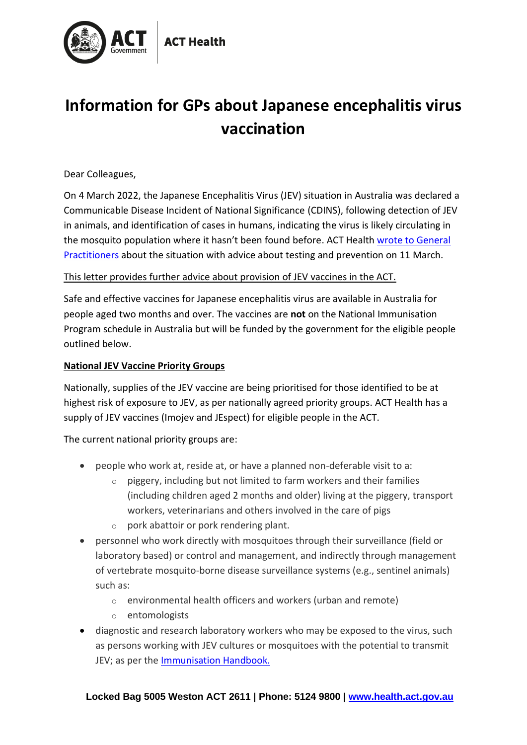

# **Information for GPs about Japanese encephalitis virus vaccination**

Dear Colleagues,

On 4 March 2022, the Japanese Encephalitis Virus (JEV) situation in Australia was declared a Communicable Disease Incident of National Significance (CDINS), following detection of JEV in animals, and identification of cases in humans, indicating the virus is likely circulating in the mosquito population where it hasn't been found before. ACT Health [wrote to General](https://www.health.act.gov.au/sites/default/files/2022-03/2022-03-11%20-%20GP%20Clinician%20Alert%20-%20Final.pdf)  [Practitioners](https://www.health.act.gov.au/sites/default/files/2022-03/2022-03-11%20-%20GP%20Clinician%20Alert%20-%20Final.pdf) about the situation with advice about testing and prevention on 11 March.

# This letter provides further advice about provision of JEV vaccines in the ACT.

Safe and effective vaccines for Japanese encephalitis virus are available in Australia for people aged two months and over. The vaccines are **not** on the National Immunisation Program schedule in Australia but will be funded by the government for the eligible people outlined below.

#### **National JEV Vaccine Priority Groups**

Nationally, supplies of the JEV vaccine are being prioritised for those identified to be at highest risk of exposure to JEV, as per nationally agreed priority groups. ACT Health has a supply of JEV vaccines (Imojev and JEspect) for eligible people in the ACT.

#### The current national priority groups are:

- people who work at, reside at, or have a planned non-deferable visit to a:
	- $\circ$  piggery, including but not limited to farm workers and their families (including children aged 2 months and older) living at the piggery, transport workers, veterinarians and others involved in the care of pigs
	- $\circ$  pork abattoir or pork rendering plant.
- personnel who work directly with mosquitoes through their surveillance (field or laboratory based) or control and management, and indirectly through management of vertebrate mosquito-borne disease surveillance systems (e.g., sentinel animals) such as:
	- o environmental health officers and workers (urban and remote)
	- o entomologists
- diagnostic and research laboratory workers who may be exposed to the virus, such as persons working with JEV cultures or mosquitoes with the potential to transmit JEV; as per the [Immunisation Handbook.](https://immunisationhandbook.health.gov.au/vaccination-for-special-risk-groups/vaccination-for-people-at-occupational-risk)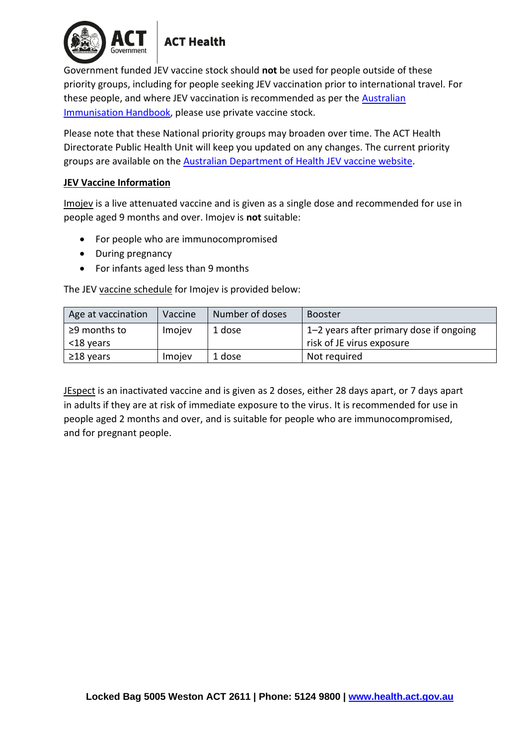

# **ACT Health**

Government funded JEV vaccine stock should **not** be used for people outside of these priority groups, including for people seeking JEV vaccination prior to international travel. For these people, and where JEV vaccination is recommended as per the [Australian](https://immunisationhandbook.health.gov.au/vaccine-preventable-diseases/japanese-encephalitis#:~:text=JE%20vaccination%20is%20recommended%20for%20residents%20of%20the%20outer%20islands,JE%20may%20need%20booster%20doses)  [Immunisation Handbook,](https://immunisationhandbook.health.gov.au/vaccine-preventable-diseases/japanese-encephalitis#:~:text=JE%20vaccination%20is%20recommended%20for%20residents%20of%20the%20outer%20islands,JE%20may%20need%20booster%20doses) please use private vaccine stock.

Please note that these National priority groups may broaden over time. The ACT Health Directorate Public Health Unit will keep you updated on any changes. The current priority groups are available on the [Australian Department of Health JEV vaccine website.](https://www.health.gov.au/health-alerts/japanese-encephalitis-virus-jev/vaccines)

# **JEV Vaccine Information**

Imojev is a live attenuated vaccine and is given as a single dose and recommended for use in people aged 9 months and over. Imojev is **not** suitable:

- For people who are immunocompromised
- During pregnancy
- For infants aged less than 9 months

The JEV vaccine schedule for Imojev is provided below:

| Age at vaccination              | Vaccine | Number of doses | <b>Booster</b>                                                       |
|---------------------------------|---------|-----------------|----------------------------------------------------------------------|
| $\geq$ 9 months to<br><18 years | Imojev  | 1 dose          | 1–2 years after primary dose if ongoing<br>risk of JE virus exposure |
| $\geq$ 18 years                 | Imojev  | 1 dose          | Not required                                                         |

JEspect is an inactivated vaccine and is given as 2 doses, either 28 days apart, or 7 days apart in adults if they are at risk of immediate exposure to the virus. It is recommended for use in people aged 2 months and over, and is suitable for people who are immunocompromised, and for pregnant people.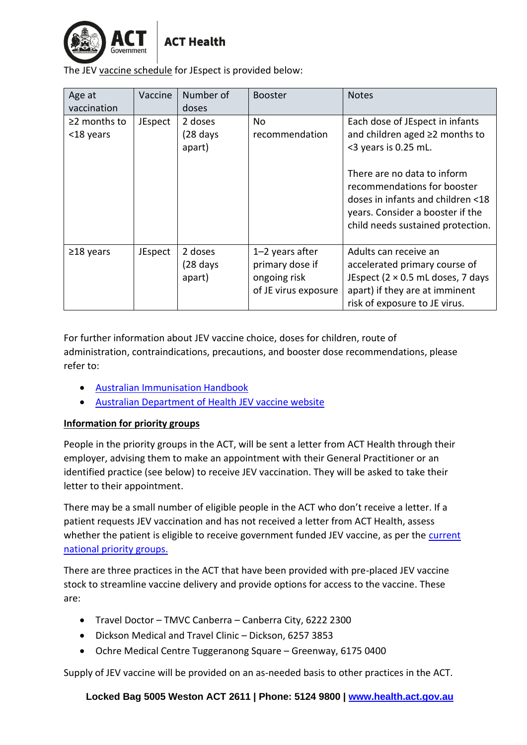

The JEV vaccine schedule for JEspect is provided below:

| Age at                          | Vaccine | Number of                                | <b>Booster</b>                                                               | <b>Notes</b>                                                                                                                                                             |
|---------------------------------|---------|------------------------------------------|------------------------------------------------------------------------------|--------------------------------------------------------------------------------------------------------------------------------------------------------------------------|
| vaccination                     |         | doses                                    |                                                                              |                                                                                                                                                                          |
| $\geq$ 2 months to<br><18 years | JEspect | 2 doses<br>$(28$ days<br>apart)          | No.<br>recommendation                                                        | Each dose of JEspect in infants<br>and children aged ≥2 months to<br><3 years is 0.25 mL.                                                                                |
|                                 |         |                                          |                                                                              | There are no data to inform<br>recommendations for booster<br>doses in infants and children <18<br>years. Consider a booster if the<br>child needs sustained protection. |
| $\geq$ 18 years                 | JEspect | 2 doses<br>$(28 \text{ days})$<br>apart) | $1-2$ years after<br>primary dose if<br>ongoing risk<br>of JE virus exposure | Adults can receive an<br>accelerated primary course of<br>JEspect ( $2 \times 0.5$ mL doses, 7 days<br>apart) if they are at imminent<br>risk of exposure to JE virus.   |

For further information about JEV vaccine choice, doses for children, route of administration, contraindications, precautions, and booster dose recommendations, please refer to:

- [Australian Immunisation Handbook](https://immunisationhandbook.health.gov.au/vaccine-preventable-diseases/japanese-encephalitis#:~:text=JE%20vaccination%20is%20recommended%20for%20residents%20of%20the%20outer%20islands,JE%20may%20need%20booster%20doses.)
- [Australian Department of Health JEV vaccine website](https://www.health.gov.au/health-alerts/japanese-encephalitis-virus-jev/vaccines)

# **Information for priority groups**

People in the priority groups in the ACT, will be sent a letter from ACT Health through their employer, advising them to make an appointment with their General Practitioner or an identified practice (see below) to receive JEV vaccination. They will be asked to take their letter to their appointment.

There may be a small number of eligible people in the ACT who don't receive a letter. If a patient requests JEV vaccination and has not received a letter from ACT Health, assess whether the patient is eligible to receive government funded JEV vaccine, as per the [current](https://www.health.gov.au/health-alerts/japanese-encephalitis-virus-jev/vaccines)  [national priority groups.](https://www.health.gov.au/health-alerts/japanese-encephalitis-virus-jev/vaccines)

There are three practices in the ACT that have been provided with pre-placed JEV vaccine stock to streamline vaccine delivery and provide options for access to the vaccine. These are:

- Travel Doctor TMVC Canberra Canberra City, 6222 2300
- Dickson Medical and Travel Clinic Dickson, 6257 3853
- Ochre Medical Centre Tuggeranong Square Greenway, 6175 0400

Supply of JEV vaccine will be provided on an as-needed basis to other practices in the ACT.

**Locked Bag 5005 Weston ACT 2611 | Phone: 5124 9800 | [www.health.act.gov.au](http://www.health.act.gov.au/)**